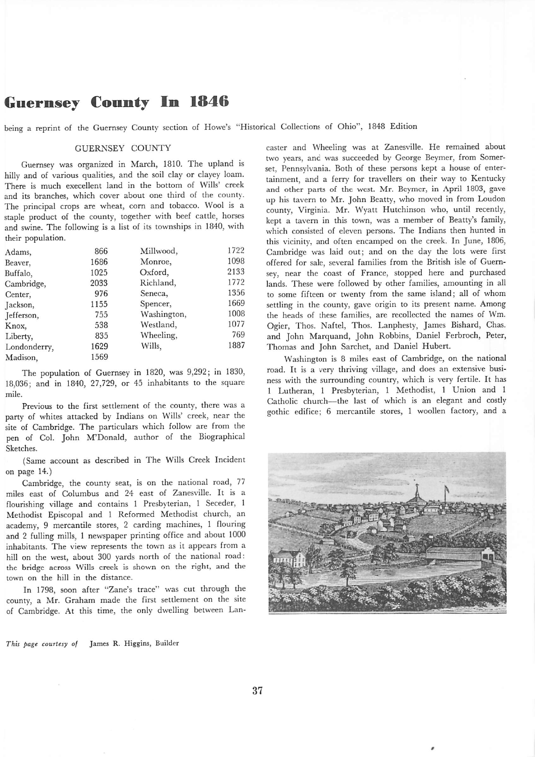## *Guernsey County In 1846*

being a reprint of the Guernsey County section of Howe's "Historical Collections of Ohio", 1848 Edition

## GUERNSEY COUNTY

Guernsey was organized in March, 1810. The upland is hilly and of various qualities, and the soil clay or clayey loam. There is much execellent land in the bottom of Wills' creek and its branches, which cover about one third of the county. The principal crops are wheat, corn and tobacco. Wool is a staple product of the county, together with beef cattle, horses and swine. The following is a list of its townships in 1840, with their population.

| Adams,       | 866  | Millwood,   | 1722 |
|--------------|------|-------------|------|
| Beaver,      | 1686 | Monroe,     | 1098 |
| Buffalo,     | 1025 | Oxford,     | 2133 |
| Cambridge,   | 2033 | Richland,   | 1772 |
| Center,      | 976  | Seneca,     | 1356 |
| Jackson,     | 1155 | Spencer,    | 1669 |
| Jefferson,   | 755  | Washington, | 1008 |
| Knox,        | 538  | Westland,   | 1077 |
| Liberty,     | 835  | Wheeling,   | 769  |
| Londonderry, | 1629 | Wills,      | 1887 |
| Madison.     | 1569 |             |      |

The population of Guernsey in 1820, was 9,292; in 1830, 18,036; and in 1840, 27,729, or 45 inhabitants to the square mile.

Previous to the first settlement of the county, there was a party of whites attacked by Indians on Wills' creek, near the site of Cambridge. The particulars which follow are from the pen of Col. John M'Donald, author of the Biographical Sketches.

(Same account as described in The Wills Creek Incident on page 14.)

Cambridge, the county seat, is on the national road, 77 miles east of Columbus and 24 east of Zanesville. It is a flourishing village and contains 1 Presbyterian, 1 Seceder, 1 Methodist Episcopal and 1 Reformed Methodist church, an academy, 9 mercantile stores, 2 carding machines, 1 flouring and 2 fulling mills, 1 newspaper printing office and about 1000 inhabitants. The view represents the town as it appears from a hill on the west, about 300 yards north of the national road: the bridge across Wills creek is shown on the right, and the town on the hill in the distance.

In 1798, soon after "Zane's trace" was cut through the county, a Mr. Graham made the first settlement on the site of Cambridge. At this time, the only dwelling between Lan caster and Wheeling was at Zanesville. He remained about two years, and was succeeded by George Beymer, from Somer set, Pennsylvania. Both of these persons kept a house of enter tainment, and a ferry for travellers on their way to Kentucky and other parts of the west. Mr. Beymer, in April 1803, gave up his tavern to Mr. John Beatty, who moved in from Loudon county, Virginia. Mr. Wyatt Hutchinson who, until recendy, kept a tavern in this town, was a member of Beatty's family, which consisted of eleven persons. The Indians then hunted in this vicinity, and often encamped on the creek. In June, 1806, Cambridge was laid out; and on the day the lots were first offered for sale, several families from the British isle of Guern sey, near the coast of France, stopped here and purchased lands. These were followed by other families, amounting in all to some fifteen or twenty from the same island; all of whom settling in the county, gave origin to its present name. Among the heads of these families, are recollected the names of Wm. Ogier, Thos. Naftel, Thos. Lanphesty, James Bishard, Chas. and John Marquand, John Robbins, Daniel Ferbroch, Peter, Thomas and John Sarchet, and Daniel Hubert.

Washington is 8 miles east of Cambridge, on the national road. It is a very thriving village, and does an extensive busi ness with the surrounding country, which is very fertile. It has 1 Lutheran, 1 Presbyterian, 1 Methodist, 1 Union and 1 Catholic church—the last of which is an elegant and costly gothic edifice: 6 mercantile stores, 1 woollen factory, and a



**This page courtesy of** James R. Higgins, Builder